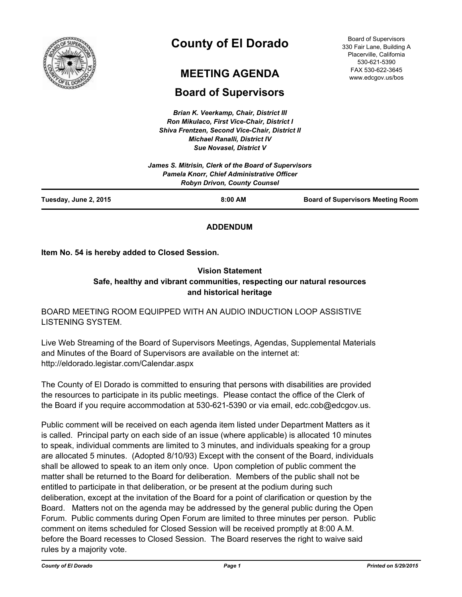

# **County of El Dorado**

## **MEETING AGENDA**

## **Board of Supervisors**

*Brian K. Veerkamp, Chair, District III Ron Mikulaco, First Vice-Chair, District I Shiva Frentzen, Second Vice-Chair, District II Michael Ranalli, District IV Sue Novasel, District V* 

|                       | James S. Mitrisin, Clerk of the Board of Supervisors<br>Pamela Knorr, Chief Administrative Officer<br><b>Robyn Drivon, County Counsel</b> |                                          |
|-----------------------|-------------------------------------------------------------------------------------------------------------------------------------------|------------------------------------------|
| Tuesday, June 2, 2015 | $8:00$ AM                                                                                                                                 | <b>Board of Supervisors Meeting Room</b> |

## **ADDENDUM**

**Item No. 54 is hereby added to Closed Session.**

## **Vision Statement**

## **Safe, healthy and vibrant communities, respecting our natural resources and historical heritage**

## BOARD MEETING ROOM EQUIPPED WITH AN AUDIO INDUCTION LOOP ASSISTIVE LISTENING SYSTEM.

Live Web Streaming of the Board of Supervisors Meetings, Agendas, Supplemental Materials and Minutes of the Board of Supervisors are available on the internet at: http://eldorado.legistar.com/Calendar.aspx

The County of El Dorado is committed to ensuring that persons with disabilities are provided the resources to participate in its public meetings. Please contact the office of the Clerk of the Board if you require accommodation at 530-621-5390 or via email, edc.cob@edcgov.us.

Public comment will be received on each agenda item listed under Department Matters as it is called. Principal party on each side of an issue (where applicable) is allocated 10 minutes to speak, individual comments are limited to 3 minutes, and individuals speaking for a group are allocated 5 minutes. (Adopted 8/10/93) Except with the consent of the Board, individuals shall be allowed to speak to an item only once. Upon completion of public comment the matter shall be returned to the Board for deliberation. Members of the public shall not be entitled to participate in that deliberation, or be present at the podium during such deliberation, except at the invitation of the Board for a point of clarification or question by the Board. Matters not on the agenda may be addressed by the general public during the Open Forum. Public comments during Open Forum are limited to three minutes per person. Public comment on items scheduled for Closed Session will be received promptly at 8:00 A.M. before the Board recesses to Closed Session. The Board reserves the right to waive said rules by a majority vote.

Board of Supervisors 330 Fair Lane, Building A Placerville, California 530-621-5390 FAX 530-622-3645 www.edcgov.us/bos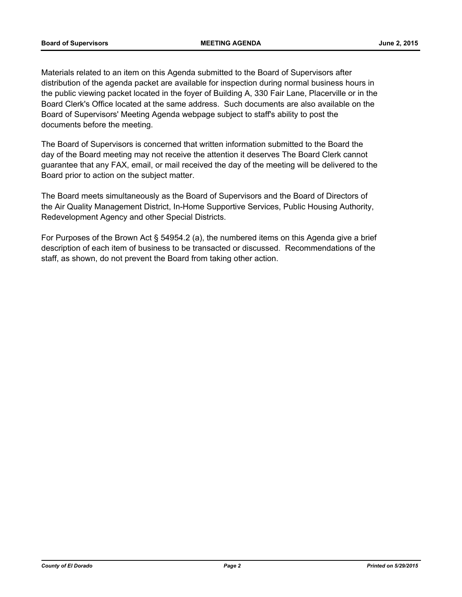Materials related to an item on this Agenda submitted to the Board of Supervisors after distribution of the agenda packet are available for inspection during normal business hours in the public viewing packet located in the foyer of Building A, 330 Fair Lane, Placerville or in the Board Clerk's Office located at the same address. Such documents are also available on the Board of Supervisors' Meeting Agenda webpage subject to staff's ability to post the documents before the meeting.

The Board of Supervisors is concerned that written information submitted to the Board the day of the Board meeting may not receive the attention it deserves The Board Clerk cannot guarantee that any FAX, email, or mail received the day of the meeting will be delivered to the Board prior to action on the subject matter.

The Board meets simultaneously as the Board of Supervisors and the Board of Directors of the Air Quality Management District, In-Home Supportive Services, Public Housing Authority, Redevelopment Agency and other Special Districts.

For Purposes of the Brown Act § 54954.2 (a), the numbered items on this Agenda give a brief description of each item of business to be transacted or discussed. Recommendations of the staff, as shown, do not prevent the Board from taking other action.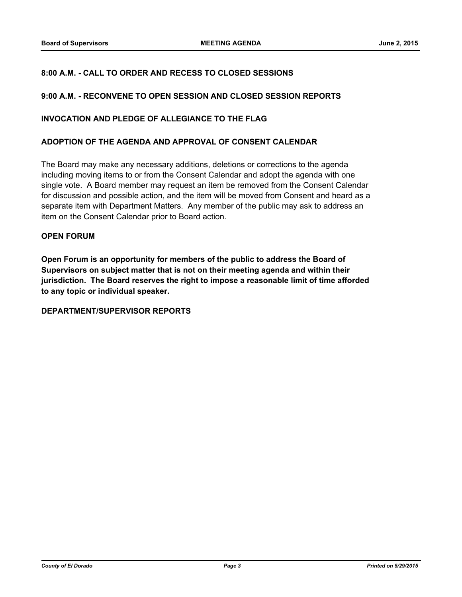## **8:00 A.M. - CALL TO ORDER AND RECESS TO CLOSED SESSIONS**

## **9:00 A.M. - RECONVENE TO OPEN SESSION AND CLOSED SESSION REPORTS**

## **INVOCATION AND PLEDGE OF ALLEGIANCE TO THE FLAG**

### **ADOPTION OF THE AGENDA AND APPROVAL OF CONSENT CALENDAR**

The Board may make any necessary additions, deletions or corrections to the agenda including moving items to or from the Consent Calendar and adopt the agenda with one single vote. A Board member may request an item be removed from the Consent Calendar for discussion and possible action, and the item will be moved from Consent and heard as a separate item with Department Matters. Any member of the public may ask to address an item on the Consent Calendar prior to Board action.

## **OPEN FORUM**

**Open Forum is an opportunity for members of the public to address the Board of Supervisors on subject matter that is not on their meeting agenda and within their jurisdiction. The Board reserves the right to impose a reasonable limit of time afforded to any topic or individual speaker.**

#### **DEPARTMENT/SUPERVISOR REPORTS**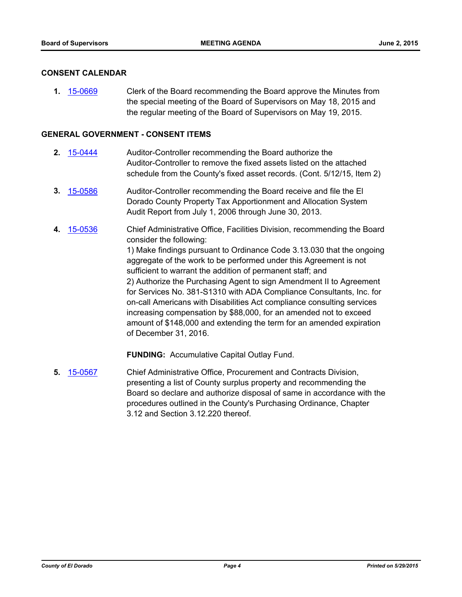## **CONSENT CALENDAR**

**1.** [15-0669](http://eldorado.legistar.com/gateway.aspx?m=l&id=/matter.aspx?key=19841) Clerk of the Board recommending the Board approve the Minutes from the special meeting of the Board of Supervisors on May 18, 2015 and the regular meeting of the Board of Supervisors on May 19, 2015.

## **GENERAL GOVERNMENT - CONSENT ITEMS**

- **2.** [15-0444](http://eldorado.legistar.com/gateway.aspx?m=l&id=/matter.aspx?key=19616) Auditor-Controller recommending the Board authorize the Auditor-Controller to remove the fixed assets listed on the attached schedule from the County's fixed asset records. (Cont. 5/12/15, Item 2)
- **3.** [15-0586](http://eldorado.legistar.com/gateway.aspx?m=l&id=/matter.aspx?key=19758) Auditor-Controller recommending the Board receive and file the El Dorado County Property Tax Apportionment and Allocation System Audit Report from July 1, 2006 through June 30, 2013.
- **4.** [15-0536](http://eldorado.legistar.com/gateway.aspx?m=l&id=/matter.aspx?key=19708) Chief Administrative Office, Facilities Division, recommending the Board consider the following: 1) Make findings pursuant to Ordinance Code 3.13.030 that the ongoing aggregate of the work to be performed under this Agreement is not sufficient to warrant the addition of permanent staff; and 2) Authorize the Purchasing Agent to sign Amendment II to Agreement for Services No. 381-S1310 with ADA Compliance Consultants, Inc. for on-call Americans with Disabilities Act compliance consulting services increasing compensation by \$88,000, for an amended not to exceed amount of \$148,000 and extending the term for an amended expiration of December 31, 2016.

**FUNDING:** Accumulative Capital Outlay Fund.

**5.** [15-0567](http://eldorado.legistar.com/gateway.aspx?m=l&id=/matter.aspx?key=19739) Chief Administrative Office, Procurement and Contracts Division, presenting a list of County surplus property and recommending the Board so declare and authorize disposal of same in accordance with the procedures outlined in the County's Purchasing Ordinance, Chapter 3.12 and Section 3.12.220 thereof.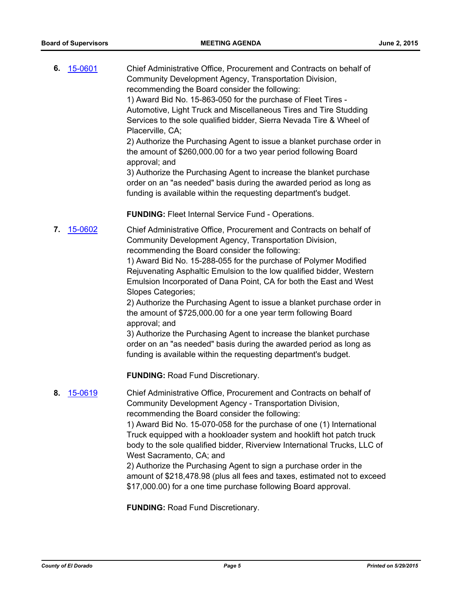| 6. | 15-0601 | Chief Administrative Office, Procurement and Contracts on behalf of               |
|----|---------|-----------------------------------------------------------------------------------|
|    |         | Community Development Agency, Transportation Division,                            |
|    |         | recommending the Board consider the following:                                    |
|    |         | 1) Award Bid No. 15-863-050 for the purchase of Fleet Tires -                     |
|    |         | Automotive, Light Truck and Miscellaneous Tires and Tire Studding                 |
|    |         | Services to the sole qualified bidder, Sierra Nevada Tire & Wheel of              |
|    |         | Placerville, CA;                                                                  |
|    |         | 2) Authorize the Purchasing Agent to issue a blanket purchase order in            |
|    |         | the amount of \$260,000.00 for a two year period following Board<br>approval; and |
|    |         | 3) Authorize the Purchasing Agent to increase the blanket purchase                |
|    |         | order on an "as needed" basis during the awarded period as long as                |
|    |         | funding is available within the requesting department's budget.                   |
|    |         |                                                                                   |

**FUNDING:** Fleet Internal Service Fund - Operations.

**7.** [15-0602](http://eldorado.legistar.com/gateway.aspx?m=l&id=/matter.aspx?key=19774) Chief Administrative Office, Procurement and Contracts on behalf of Community Development Agency, Transportation Division, recommending the Board consider the following:

> 1) Award Bid No. 15-288-055 for the purchase of Polymer Modified Rejuvenating Asphaltic Emulsion to the low qualified bidder, Western Emulsion Incorporated of Dana Point, CA for both the East and West Slopes Categories;

2) Authorize the Purchasing Agent to issue a blanket purchase order in the amount of \$725,000.00 for a one year term following Board approval; and

3) Authorize the Purchasing Agent to increase the blanket purchase order on an "as needed" basis during the awarded period as long as funding is available within the requesting department's budget.

**FUNDING:** Road Fund Discretionary.

**8.** [15-0619](http://eldorado.legistar.com/gateway.aspx?m=l&id=/matter.aspx?key=19791) Chief Administrative Office, Procurement and Contracts on behalf of Community Development Agency - Transportation Division, recommending the Board consider the following:

> 1) Award Bid No. 15-070-058 for the purchase of one (1) International Truck equipped with a hookloader system and hooklift hot patch truck body to the sole qualified bidder, Riverview International Trucks, LLC of West Sacramento, CA; and

> 2) Authorize the Purchasing Agent to sign a purchase order in the amount of \$218,478.98 (plus all fees and taxes, estimated not to exceed \$17,000.00) for a one time purchase following Board approval.

**FUNDING:** Road Fund Discretionary.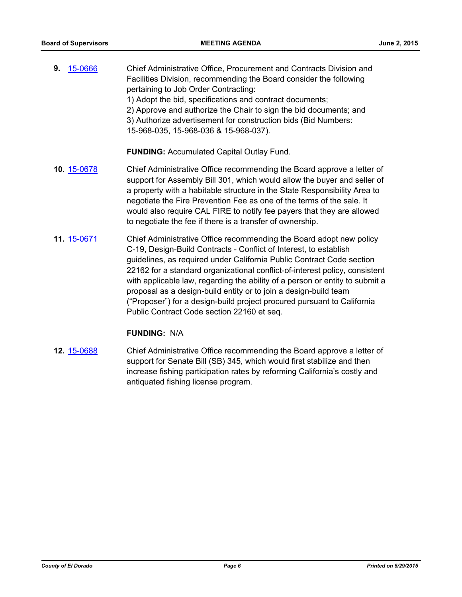| <b>9. 15-0666</b> | Chief Administrative Office, Procurement and Contracts Division and |
|-------------------|---------------------------------------------------------------------|
|                   | Facilities Division, recommending the Board consider the following  |
|                   | pertaining to Job Order Contracting:                                |
|                   | 1) Adopt the bid, specifications and contract documents;            |
|                   | 2) Approve and authorize the Chair to sign the bid documents; and   |
|                   | 3) Authorize advertisement for construction bids (Bid Numbers:      |
|                   | 15-968-035, 15-968-036 & 15-968-037).                               |
|                   |                                                                     |

**FUNDING:** Accumulated Capital Outlay Fund.

- **10.** [15-0678](http://eldorado.legistar.com/gateway.aspx?m=l&id=/matter.aspx?key=19850) Chief Administrative Office recommending the Board approve a letter of support for Assembly Bill 301, which would allow the buyer and seller of a property with a habitable structure in the State Responsibility Area to negotiate the Fire Prevention Fee as one of the terms of the sale. It would also require CAL FIRE to notify fee payers that they are allowed to negotiate the fee if there is a transfer of ownership.
- **11.** [15-0671](http://eldorado.legistar.com/gateway.aspx?m=l&id=/matter.aspx?key=19843) Chief Administrative Office recommending the Board adopt new policy C-19, Design-Build Contracts - Conflict of Interest, to establish guidelines, as required under California Public Contract Code section 22162 for a standard organizational conflict-of-interest policy, consistent with applicable law, regarding the ability of a person or entity to submit a proposal as a design-build entity or to join a design-build team ("Proposer") for a design-build project procured pursuant to California Public Contract Code section 22160 et seq.

## **FUNDING:** N/A

**12.** [15-0688](http://eldorado.legistar.com/gateway.aspx?m=l&id=/matter.aspx?key=19861) Chief Administrative Office recommending the Board approve a letter of support for Senate Bill (SB) 345, which would first stabilize and then increase fishing participation rates by reforming California's costly and antiquated fishing license program.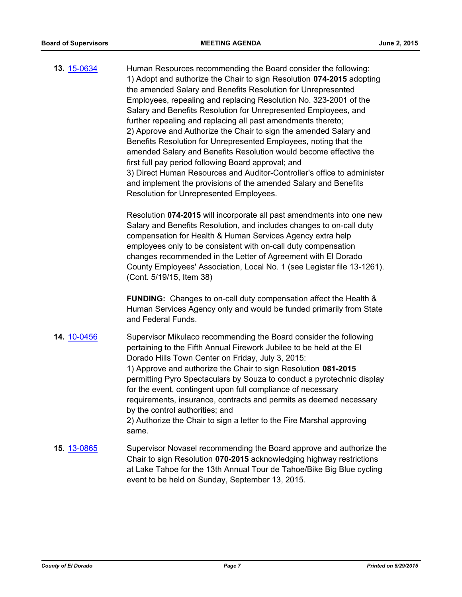**13.** [15-0634](http://eldorado.legistar.com/gateway.aspx?m=l&id=/matter.aspx?key=19806) Human Resources recommending the Board consider the following: 1) Adopt and authorize the Chair to sign Resolution **074-2015** adopting the amended Salary and Benefits Resolution for Unrepresented Employees, repealing and replacing Resolution No. 323-2001 of the Salary and Benefits Resolution for Unrepresented Employees, and further repealing and replacing all past amendments thereto; 2) Approve and Authorize the Chair to sign the amended Salary and Benefits Resolution for Unrepresented Employees, noting that the amended Salary and Benefits Resolution would become effective the first full pay period following Board approval; and 3) Direct Human Resources and Auditor-Controller's office to administer and implement the provisions of the amended Salary and Benefits Resolution for Unrepresented Employees.

> Resolution **074-2015** will incorporate all past amendments into one new Salary and Benefits Resolution, and includes changes to on-call duty compensation for Health & Human Services Agency extra help employees only to be consistent with on-call duty compensation changes recommended in the Letter of Agreement with El Dorado County Employees' Association, Local No. 1 (see Legistar file 13-1261). (Cont. 5/19/15, Item 38)

> **FUNDING:** Changes to on-call duty compensation affect the Health & Human Services Agency only and would be funded primarily from State and Federal Funds.

- **14.** [10-0456](http://eldorado.legistar.com/gateway.aspx?m=l&id=/matter.aspx?key=11800) Supervisor Mikulaco recommending the Board consider the following pertaining to the Fifth Annual Firework Jubilee to be held at the El Dorado Hills Town Center on Friday, July 3, 2015: 1) Approve and authorize the Chair to sign Resolution **081-2015**  permitting Pyro Spectaculars by Souza to conduct a pyrotechnic display for the event, contingent upon full compliance of necessary requirements, insurance, contracts and permits as deemed necessary by the control authorities; and 2) Authorize the Chair to sign a letter to the Fire Marshal approving same.
- **15.** [13-0865](http://eldorado.legistar.com/gateway.aspx?m=l&id=/matter.aspx?key=16758) Supervisor Novasel recommending the Board approve and authorize the Chair to sign Resolution **070-2015** acknowledging highway restrictions at Lake Tahoe for the 13th Annual Tour de Tahoe/Bike Big Blue cycling event to be held on Sunday, September 13, 2015.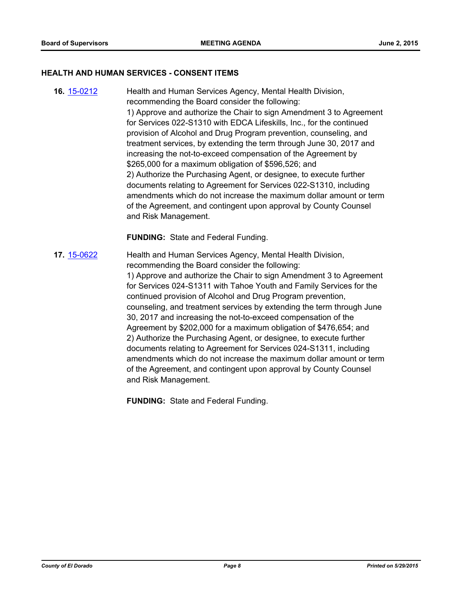## **HEALTH AND HUMAN SERVICES - CONSENT ITEMS**

**16.** [15-0212](http://eldorado.legistar.com/gateway.aspx?m=l&id=/matter.aspx?key=19386) Health and Human Services Agency, Mental Health Division, recommending the Board consider the following: 1) Approve and authorize the Chair to sign Amendment 3 to Agreement for Services 022-S1310 with EDCA Lifeskills, Inc., for the continued provision of Alcohol and Drug Program prevention, counseling, and treatment services, by extending the term through June 30, 2017 and increasing the not-to-exceed compensation of the Agreement by \$265,000 for a maximum obligation of \$596,526; and 2) Authorize the Purchasing Agent, or designee, to execute further documents relating to Agreement for Services 022-S1310, including amendments which do not increase the maximum dollar amount or term of the Agreement, and contingent upon approval by County Counsel and Risk Management.

**FUNDING:** State and Federal Funding.

**17.** [15-0622](http://eldorado.legistar.com/gateway.aspx?m=l&id=/matter.aspx?key=19794) Health and Human Services Agency, Mental Health Division, recommending the Board consider the following: 1) Approve and authorize the Chair to sign Amendment 3 to Agreement for Services 024-S1311 with Tahoe Youth and Family Services for the continued provision of Alcohol and Drug Program prevention, counseling, and treatment services by extending the term through June 30, 2017 and increasing the not-to-exceed compensation of the Agreement by \$202,000 for a maximum obligation of \$476,654; and 2) Authorize the Purchasing Agent, or designee, to execute further documents relating to Agreement for Services 024-S1311, including amendments which do not increase the maximum dollar amount or term of the Agreement, and contingent upon approval by County Counsel and Risk Management.

**FUNDING:** State and Federal Funding.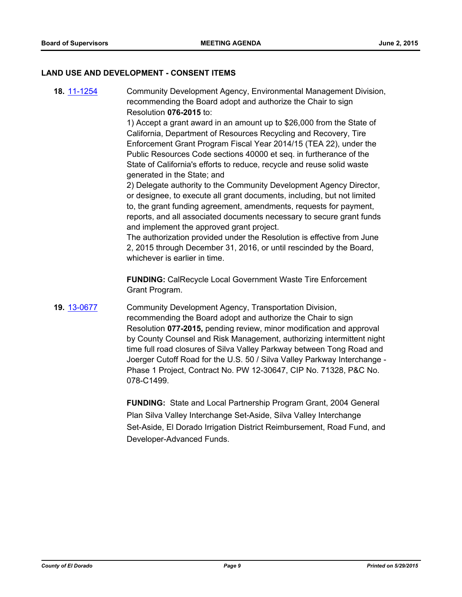### **LAND USE AND DEVELOPMENT - CONSENT ITEMS**

**18.** [11-1254](http://eldorado.legistar.com/gateway.aspx?m=l&id=/matter.aspx?key=14100) Community Development Agency, Environmental Management Division, recommending the Board adopt and authorize the Chair to sign Resolution **076-2015** to:

> 1) Accept a grant award in an amount up to \$26,000 from the State of California, Department of Resources Recycling and Recovery, Tire Enforcement Grant Program Fiscal Year 2014/15 (TEA 22), under the Public Resources Code sections 40000 et seq. in furtherance of the State of California's efforts to reduce, recycle and reuse solid waste generated in the State; and

2) Delegate authority to the Community Development Agency Director, or designee, to execute all grant documents, including, but not limited to, the grant funding agreement, amendments, requests for payment, reports, and all associated documents necessary to secure grant funds and implement the approved grant project.

The authorization provided under the Resolution is effective from June 2, 2015 through December 31, 2016, or until rescinded by the Board, whichever is earlier in time.

**FUNDING:** CalRecycle Local Government Waste Tire Enforcement Grant Program.

**19.** [13-0677](http://eldorado.legistar.com/gateway.aspx?m=l&id=/matter.aspx?key=16567) Community Development Agency, Transportation Division, recommending the Board adopt and authorize the Chair to sign Resolution **077-2015,** pending review, minor modification and approval by County Counsel and Risk Management, authorizing intermittent night time full road closures of Silva Valley Parkway between Tong Road and Joerger Cutoff Road for the U.S. 50 / Silva Valley Parkway Interchange - Phase 1 Project, Contract No. PW 12-30647, CIP No. 71328, P&C No. 078-C1499.

> **FUNDING:** State and Local Partnership Program Grant, 2004 General Plan Silva Valley Interchange Set-Aside, Silva Valley Interchange Set-Aside, El Dorado Irrigation District Reimbursement, Road Fund, and Developer-Advanced Funds.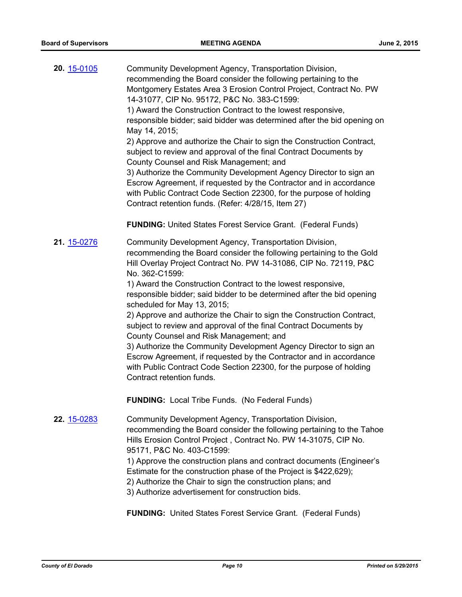| Community Development Agency, Transportation Division,<br>recommending the Board consider the following pertaining to the<br>Montgomery Estates Area 3 Erosion Control Project, Contract No. PW<br>14-31077, CIP No. 95172, P&C No. 383-C1599:<br>1) Award the Construction Contract to the lowest responsive,<br>responsible bidder; said bidder was determined after the bid opening on<br>May 14, 2015;<br>2) Approve and authorize the Chair to sign the Construction Contract,<br>subject to review and approval of the final Contract Documents by<br>County Counsel and Risk Management; and<br>3) Authorize the Community Development Agency Director to sign an<br>Escrow Agreement, if requested by the Contractor and in accordance<br>with Public Contract Code Section 22300, for the purpose of holding<br>Contract retention funds. (Refer: 4/28/15, Item 27) |
|------------------------------------------------------------------------------------------------------------------------------------------------------------------------------------------------------------------------------------------------------------------------------------------------------------------------------------------------------------------------------------------------------------------------------------------------------------------------------------------------------------------------------------------------------------------------------------------------------------------------------------------------------------------------------------------------------------------------------------------------------------------------------------------------------------------------------------------------------------------------------|
| <b>FUNDING:</b> United States Forest Service Grant. (Federal Funds)                                                                                                                                                                                                                                                                                                                                                                                                                                                                                                                                                                                                                                                                                                                                                                                                          |
| Community Development Agency, Transportation Division,<br>recommending the Board consider the following pertaining to the Gold<br>Hill Overlay Project Contract No. PW 14-31086, CIP No. 72119, P&C<br>No. 362-C1599:<br>1) Award the Construction Contract to the lowest responsive,<br>responsible bidder; said bidder to be determined after the bid opening<br>scheduled for May 13, 2015;<br>2) Approve and authorize the Chair to sign the Construction Contract,<br>subject to review and approval of the final Contract Documents by<br>County Counsel and Risk Management; and<br>3) Authorize the Community Development Agency Director to sign an<br>Escrow Agreement, if requested by the Contractor and in accordance<br>with Public Contract Code Section 22300, for the purpose of holding<br>Contract retention funds.                                       |
| <b>FUNDING:</b> Local Tribe Funds. (No Federal Funds)                                                                                                                                                                                                                                                                                                                                                                                                                                                                                                                                                                                                                                                                                                                                                                                                                        |
| Community Development Agency, Transportation Division,<br>recommending the Board consider the following pertaining to the Tahoe<br>Hills Erosion Control Project, Contract No. PW 14-31075, CIP No.<br>95171, P&C No. 403-C1599:<br>1) Approve the construction plans and contract documents (Engineer's<br>Estimate for the construction phase of the Project is \$422,629);<br>2) Authorize the Chair to sign the construction plans; and<br>3) Authorize advertisement for construction bids.                                                                                                                                                                                                                                                                                                                                                                             |
|                                                                                                                                                                                                                                                                                                                                                                                                                                                                                                                                                                                                                                                                                                                                                                                                                                                                              |

**FUNDING:** United States Forest Service Grant. (Federal Funds)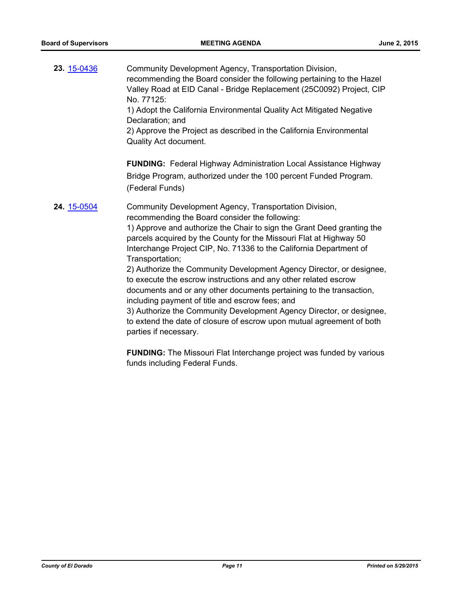**23.** [15-0436](http://eldorado.legistar.com/gateway.aspx?m=l&id=/matter.aspx?key=19608) Community Development Agency, Transportation Division, recommending the Board consider the following pertaining to the Hazel Valley Road at EID Canal - Bridge Replacement (25C0092) Project, CIP No. 77125: 1) Adopt the California Environmental Quality Act Mitigated Negative Declaration; and 2) Approve the Project as described in the California Environmental Quality Act document. **FUNDING:** Federal Highway Administration Local Assistance Highway Bridge Program, authorized under the 100 percent Funded Program. (Federal Funds) **24.** [15-0504](http://eldorado.legistar.com/gateway.aspx?m=l&id=/matter.aspx?key=19676) Community Development Agency, Transportation Division, recommending the Board consider the following: 1) Approve and authorize the Chair to sign the Grant Deed granting the parcels acquired by the County for the Missouri Flat at Highway 50 Interchange Project CIP, No. 71336 to the California Department of Transportation; 2) Authorize the Community Development Agency Director, or designee, to execute the escrow instructions and any other related escrow documents and or any other documents pertaining to the transaction, including payment of title and escrow fees; and 3) Authorize the Community Development Agency Director, or designee, to extend the date of closure of escrow upon mutual agreement of both parties if necessary.

> **FUNDING:** The Missouri Flat Interchange project was funded by various funds including Federal Funds.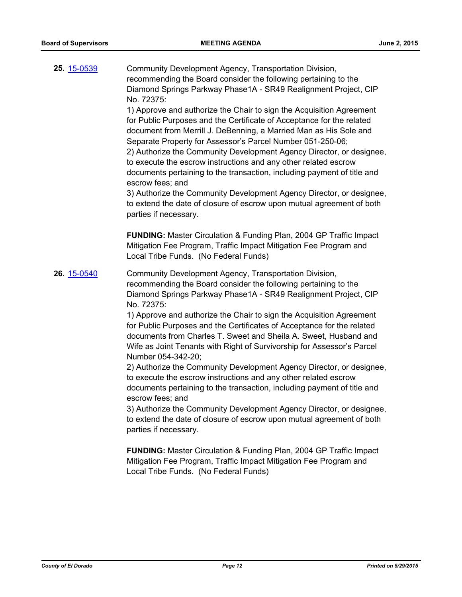| 25. 15-0539 | Community Development Agency, Transportation Division,<br>recommending the Board consider the following pertaining to the<br>Diamond Springs Parkway Phase1A - SR49 Realignment Project, CIP<br>No. 72375:<br>1) Approve and authorize the Chair to sign the Acquisition Agreement<br>for Public Purposes and the Certificate of Acceptance for the related<br>document from Merrill J. DeBenning, a Married Man as His Sole and<br>Separate Property for Assessor's Parcel Number 051-250-06;<br>2) Authorize the Community Development Agency Director, or designee,<br>to execute the escrow instructions and any other related escrow<br>documents pertaining to the transaction, including payment of title and<br>escrow fees; and<br>3) Authorize the Community Development Agency Director, or designee,<br>to extend the date of closure of escrow upon mutual agreement of both<br>parties if necessary.                                                                                                                                                                                                                              |
|-------------|-------------------------------------------------------------------------------------------------------------------------------------------------------------------------------------------------------------------------------------------------------------------------------------------------------------------------------------------------------------------------------------------------------------------------------------------------------------------------------------------------------------------------------------------------------------------------------------------------------------------------------------------------------------------------------------------------------------------------------------------------------------------------------------------------------------------------------------------------------------------------------------------------------------------------------------------------------------------------------------------------------------------------------------------------------------------------------------------------------------------------------------------------|
|             | FUNDING: Master Circulation & Funding Plan, 2004 GP Traffic Impact<br>Mitigation Fee Program, Traffic Impact Mitigation Fee Program and<br>Local Tribe Funds. (No Federal Funds)                                                                                                                                                                                                                                                                                                                                                                                                                                                                                                                                                                                                                                                                                                                                                                                                                                                                                                                                                                |
| 26. 15-0540 | Community Development Agency, Transportation Division,<br>recommending the Board consider the following pertaining to the<br>Diamond Springs Parkway Phase1A - SR49 Realignment Project, CIP<br>No. 72375:<br>1) Approve and authorize the Chair to sign the Acquisition Agreement<br>for Public Purposes and the Certificates of Acceptance for the related<br>documents from Charles T. Sweet and Sheila A. Sweet, Husband and<br>Wife as Joint Tenants with Right of Survivorship for Assessor's Parcel<br>Number 054-342-20;<br>2) Authorize the Community Development Agency Director, or designee,<br>to execute the escrow instructions and any other related escrow<br>documents pertaining to the transaction, including payment of title and<br>escrow fees: and<br>3) Authorize the Community Development Agency Director, or designee,<br>to extend the date of closure of escrow upon mutual agreement of both<br>parties if necessary.<br><b>FUNDING:</b> Master Circulation & Funding Plan, 2004 GP Traffic Impact<br>Mitigation Fee Program, Traffic Impact Mitigation Fee Program and<br>Local Tribe Funds. (No Federal Funds) |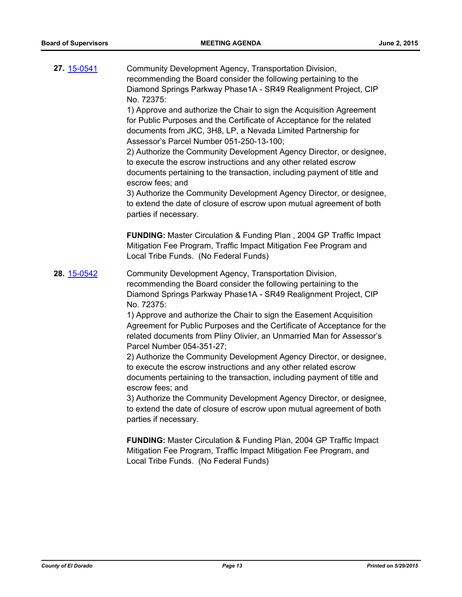| 27. 15-0541 | Community Development Agency, Transportation Division,<br>recommending the Board consider the following pertaining to the<br>Diamond Springs Parkway Phase1A - SR49 Realignment Project, CIP<br>No. 72375:<br>1) Approve and authorize the Chair to sign the Acquisition Agreement<br>for Public Purposes and the Certificate of Acceptance for the related<br>documents from JKC, 3H8, LP, a Nevada Limited Partnership for<br>Assessor's Parcel Number 051-250-13-100;<br>2) Authorize the Community Development Agency Director, or designee,<br>to execute the escrow instructions and any other related escrow<br>documents pertaining to the transaction, including payment of title and<br>escrow fees; and<br>3) Authorize the Community Development Agency Director, or designee,<br>to extend the date of closure of escrow upon mutual agreement of both<br>parties if necessary.                                                                                                                                                                                |
|-------------|-----------------------------------------------------------------------------------------------------------------------------------------------------------------------------------------------------------------------------------------------------------------------------------------------------------------------------------------------------------------------------------------------------------------------------------------------------------------------------------------------------------------------------------------------------------------------------------------------------------------------------------------------------------------------------------------------------------------------------------------------------------------------------------------------------------------------------------------------------------------------------------------------------------------------------------------------------------------------------------------------------------------------------------------------------------------------------|
|             | FUNDING: Master Circulation & Funding Plan, 2004 GP Traffic Impact<br>Mitigation Fee Program, Traffic Impact Mitigation Fee Program and<br>Local Tribe Funds. (No Federal Funds)                                                                                                                                                                                                                                                                                                                                                                                                                                                                                                                                                                                                                                                                                                                                                                                                                                                                                            |
| 28. 15-0542 | Community Development Agency, Transportation Division,<br>recommending the Board consider the following pertaining to the<br>Diamond Springs Parkway Phase1A - SR49 Realignment Project, CIP<br>No. 72375:<br>1) Approve and authorize the Chair to sign the Easement Acquisition<br>Agreement for Public Purposes and the Certificate of Acceptance for the<br>related documents from Pliny Olivier, an Unmarried Man for Assessor's<br>Parcel Number 054-351-27;<br>2) Authorize the Community Development Agency Director, or designee,<br>to execute the escrow instructions and any other related escrow<br>documents pertaining to the transaction, including payment of title and<br>escrow fees; and<br>3) Authorize the Community Development Agency Director, or designee,<br>to extend the date of closure of escrow upon mutual agreement of both<br>parties if necessary.<br>FUNDING: Master Circulation & Funding Plan, 2004 GP Traffic Impact<br>Mitigation Fee Program, Traffic Impact Mitigation Fee Program, and<br>Local Tribe Funds. (No Federal Funds) |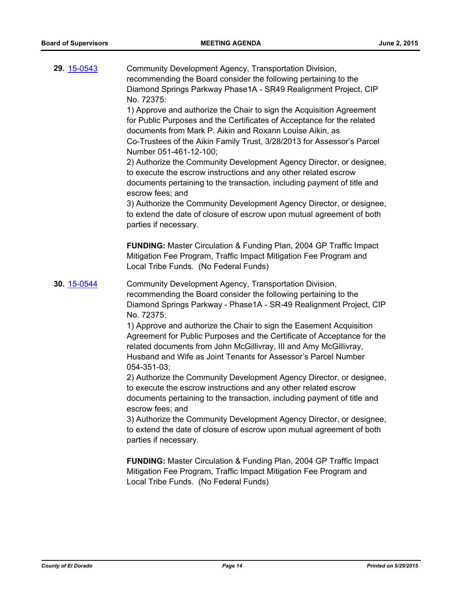| 29. 15-0543 | Community Development Agency, Transportation Division,<br>recommending the Board consider the following pertaining to the<br>Diamond Springs Parkway Phase1A - SR49 Realignment Project, CIP<br>No. 72375:<br>1) Approve and authorize the Chair to sign the Acquisition Agreement<br>for Public Purposes and the Certificates of Acceptance for the related<br>documents from Mark P. Aikin and Roxann Louise Aikin, as<br>Co-Trustees of the Aikin Family Trust, 3/28/2013 for Assessor's Parcel<br>Number 051-461-12-100;<br>2) Authorize the Community Development Agency Director, or designee,<br>to execute the escrow instructions and any other related escrow<br>documents pertaining to the transaction, including payment of title and<br>escrow fees; and<br>3) Authorize the Community Development Agency Director, or designee,<br>to extend the date of closure of escrow upon mutual agreement of both<br>parties if necessary. |
|-------------|--------------------------------------------------------------------------------------------------------------------------------------------------------------------------------------------------------------------------------------------------------------------------------------------------------------------------------------------------------------------------------------------------------------------------------------------------------------------------------------------------------------------------------------------------------------------------------------------------------------------------------------------------------------------------------------------------------------------------------------------------------------------------------------------------------------------------------------------------------------------------------------------------------------------------------------------------|
|             | FUNDING: Master Circulation & Funding Plan, 2004 GP Traffic Impact<br>Mitigation Fee Program, Traffic Impact Mitigation Fee Program and<br>Local Tribe Funds. (No Federal Funds)                                                                                                                                                                                                                                                                                                                                                                                                                                                                                                                                                                                                                                                                                                                                                                 |
| 30. 15-0544 | Community Development Agency, Transportation Division,<br>recommending the Board consider the following pertaining to the<br>Diamond Springs Parkway - Phase1A - SR-49 Realignment Project, CIP<br>No. 72375:<br>1) Approve and authorize the Chair to sign the Easement Acquisition<br>Agreement for Public Purposes and the Certificate of Acceptance for the<br>related documents from John McGillivray, III and Amy McGillivray,<br>Husband and Wife as Joint Tenants for Assessor's Parcel Number<br>054-351-03;<br>2) Authorize the Community Development Agency Director, or designee,<br>to execute the escrow instructions and any other related escrow<br>documents pertaining to the transaction, including payment of title and<br>escrow fees; and<br>3) Authorize the Community Development Agency Director, or designee,<br>to extend the date of closure of escrow upon mutual agreement of both<br>parties if necessary.        |
|             | FUNDING: Master Circulation & Funding Plan, 2004 GP Traffic Impact<br>Mitigation Fee Program, Traffic Impact Mitigation Fee Program and<br>Local Tribe Funds. (No Federal Funds)                                                                                                                                                                                                                                                                                                                                                                                                                                                                                                                                                                                                                                                                                                                                                                 |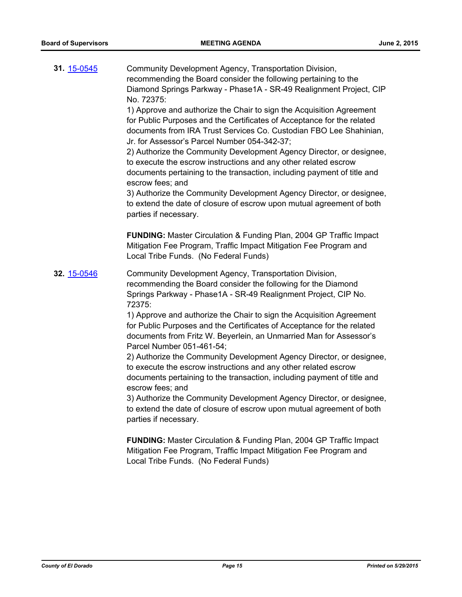| 31. 15-0545 | Community Development Agency, Transportation Division,<br>recommending the Board consider the following pertaining to the<br>Diamond Springs Parkway - Phase1A - SR-49 Realignment Project, CIP<br>No. 72375:<br>1) Approve and authorize the Chair to sign the Acquisition Agreement<br>for Public Purposes and the Certificates of Acceptance for the related<br>documents from IRA Trust Services Co. Custodian FBO Lee Shahinian,<br>Jr. for Assessor's Parcel Number 054-342-37;<br>2) Authorize the Community Development Agency Director, or designee,<br>to execute the escrow instructions and any other related escrow<br>documents pertaining to the transaction, including payment of title and<br>escrow fees; and<br>3) Authorize the Community Development Agency Director, or designee,<br>to extend the date of closure of escrow upon mutual agreement of both<br>parties if necessary.<br>FUNDING: Master Circulation & Funding Plan, 2004 GP Traffic Impact                                                                                         |
|-------------|-------------------------------------------------------------------------------------------------------------------------------------------------------------------------------------------------------------------------------------------------------------------------------------------------------------------------------------------------------------------------------------------------------------------------------------------------------------------------------------------------------------------------------------------------------------------------------------------------------------------------------------------------------------------------------------------------------------------------------------------------------------------------------------------------------------------------------------------------------------------------------------------------------------------------------------------------------------------------------------------------------------------------------------------------------------------------|
|             | Mitigation Fee Program, Traffic Impact Mitigation Fee Program and<br>Local Tribe Funds. (No Federal Funds)                                                                                                                                                                                                                                                                                                                                                                                                                                                                                                                                                                                                                                                                                                                                                                                                                                                                                                                                                              |
| 32. 15-0546 | Community Development Agency, Transportation Division,<br>recommending the Board consider the following for the Diamond<br>Springs Parkway - Phase1A - SR-49 Realignment Project, CIP No.<br>72375:<br>1) Approve and authorize the Chair to sign the Acquisition Agreement<br>for Public Purposes and the Certificates of Acceptance for the related<br>documents from Fritz W. Beyerlein, an Unmarried Man for Assessor's<br>Parcel Number 051-461-54;<br>2) Authorize the Community Development Agency Director, or designee,<br>to execute the escrow instructions and any other related escrow<br>documents pertaining to the transaction, including payment of title and<br>escrow fees; and<br>3) Authorize the Community Development Agency Director, or designee,<br>to extend the date of closure of escrow upon mutual agreement of both<br>parties if necessary.<br><b>FUNDING:</b> Master Circulation & Funding Plan, 2004 GP Traffic Impact<br>Mitigation Fee Program, Traffic Impact Mitigation Fee Program and<br>Local Tribe Funds. (No Federal Funds) |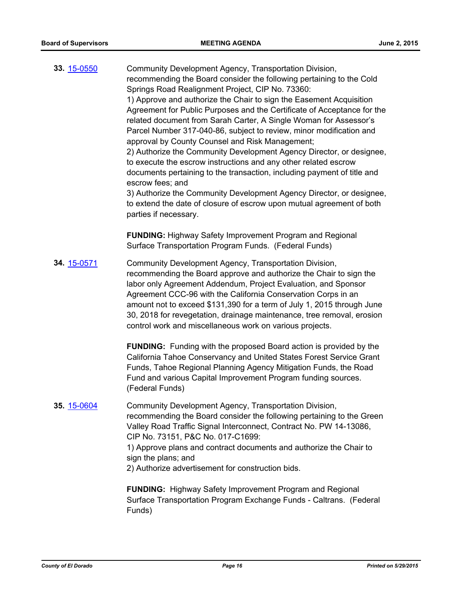| 33. 15-0550 | Community Development Agency, Transportation Division,<br>recommending the Board consider the following pertaining to the Cold<br>Springs Road Realignment Project, CIP No. 73360:<br>1) Approve and authorize the Chair to sign the Easement Acquisition<br>Agreement for Public Purposes and the Certificate of Acceptance for the<br>related document from Sarah Carter, A Single Woman for Assessor's<br>Parcel Number 317-040-86, subject to review, minor modification and<br>approval by County Counsel and Risk Management;<br>2) Authorize the Community Development Agency Director, or designee,<br>to execute the escrow instructions and any other related escrow<br>documents pertaining to the transaction, including payment of title and<br>escrow fees; and<br>3) Authorize the Community Development Agency Director, or designee,<br>to extend the date of closure of escrow upon mutual agreement of both<br>parties if necessary. |
|-------------|---------------------------------------------------------------------------------------------------------------------------------------------------------------------------------------------------------------------------------------------------------------------------------------------------------------------------------------------------------------------------------------------------------------------------------------------------------------------------------------------------------------------------------------------------------------------------------------------------------------------------------------------------------------------------------------------------------------------------------------------------------------------------------------------------------------------------------------------------------------------------------------------------------------------------------------------------------|
|             | <b>FUNDING:</b> Highway Safety Improvement Program and Regional<br>Surface Transportation Program Funds. (Federal Funds)                                                                                                                                                                                                                                                                                                                                                                                                                                                                                                                                                                                                                                                                                                                                                                                                                                |
| 34. 15-0571 | Community Development Agency, Transportation Division,<br>recommending the Board approve and authorize the Chair to sign the<br>labor only Agreement Addendum, Project Evaluation, and Sponsor<br>Agreement CCC-96 with the California Conservation Corps in an<br>amount not to exceed \$131,390 for a term of July 1, 2015 through June<br>30, 2018 for revegetation, drainage maintenance, tree removal, erosion<br>control work and miscellaneous work on various projects.                                                                                                                                                                                                                                                                                                                                                                                                                                                                         |
|             | <b>FUNDING:</b> Funding with the proposed Board action is provided by the<br>California Tahoe Conservancy and United States Forest Service Grant<br>Funds, Tahoe Regional Planning Agency Mitigation Funds, the Road<br>Fund and various Capital Improvement Program funding sources.<br>(Federal Funds)                                                                                                                                                                                                                                                                                                                                                                                                                                                                                                                                                                                                                                                |
| 35. 15-0604 | Community Development Agency, Transportation Division,<br>recommending the Board consider the following pertaining to the Green<br>Valley Road Traffic Signal Interconnect, Contract No. PW 14-13086,<br>CIP No. 73151, P&C No. 017-C1699:<br>1) Approve plans and contract documents and authorize the Chair to<br>sign the plans; and<br>2) Authorize advertisement for construction bids.                                                                                                                                                                                                                                                                                                                                                                                                                                                                                                                                                            |
|             | <b>FUNDING:</b> Highway Safety Improvement Program and Regional                                                                                                                                                                                                                                                                                                                                                                                                                                                                                                                                                                                                                                                                                                                                                                                                                                                                                         |

Surface Transportation Program Exchange Funds - Caltrans. (Federal Funds)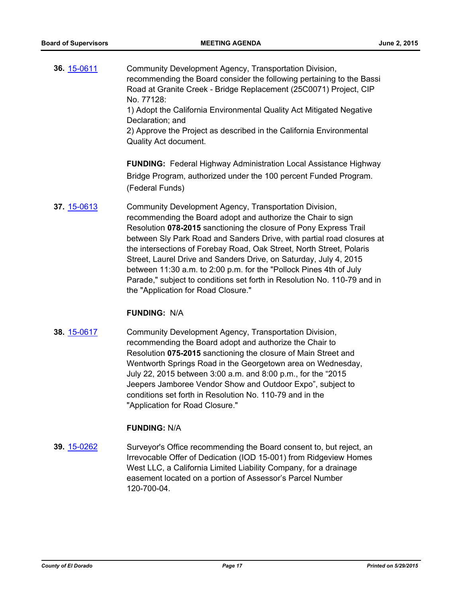**36.** [15-0611](http://eldorado.legistar.com/gateway.aspx?m=l&id=/matter.aspx?key=19783) Community Development Agency, Transportation Division, recommending the Board consider the following pertaining to the Bassi Road at Granite Creek - Bridge Replacement (25C0071) Project, CIP No. 77128: 1) Adopt the California Environmental Quality Act Mitigated Negative Declaration; and 2) Approve the Project as described in the California Environmental Quality Act document. **FUNDING:** Federal Highway Administration Local Assistance Highway

Bridge Program, authorized under the 100 percent Funded Program. (Federal Funds)

**37.** [15-0613](http://eldorado.legistar.com/gateway.aspx?m=l&id=/matter.aspx?key=19785) Community Development Agency, Transportation Division, recommending the Board adopt and authorize the Chair to sign Resolution **078-2015** sanctioning the closure of Pony Express Trail between Sly Park Road and Sanders Drive, with partial road closures at the intersections of Forebay Road, Oak Street, North Street, Polaris Street, Laurel Drive and Sanders Drive, on Saturday, July 4, 2015 between 11:30 a.m. to 2:00 p.m. for the "Pollock Pines 4th of July Parade," subject to conditions set forth in Resolution No. 110-79 and in the "Application for Road Closure."

## **FUNDING:** N/A

**38.** [15-0617](http://eldorado.legistar.com/gateway.aspx?m=l&id=/matter.aspx?key=19789) Community Development Agency, Transportation Division, recommending the Board adopt and authorize the Chair to Resolution **075-2015** sanctioning the closure of Main Street and Wentworth Springs Road in the Georgetown area on Wednesday, July 22, 2015 between 3:00 a.m. and 8:00 p.m., for the "2015 Jeepers Jamboree Vendor Show and Outdoor Expo", subject to conditions set forth in Resolution No. 110-79 and in the "Application for Road Closure."

## **FUNDING:** N/A

**39.** [15-0262](http://eldorado.legistar.com/gateway.aspx?m=l&id=/matter.aspx?key=19436) Surveyor's Office recommending the Board consent to, but reject, an Irrevocable Offer of Dedication (IOD 15-001) from Ridgeview Homes West LLC, a California Limited Liability Company, for a drainage easement located on a portion of Assessor's Parcel Number 120-700-04*.*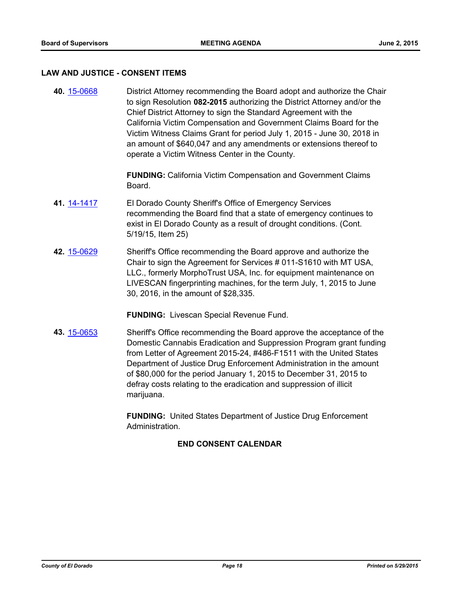#### **LAW AND JUSTICE - CONSENT ITEMS**

**40.** [15-0668](http://eldorado.legistar.com/gateway.aspx?m=l&id=/matter.aspx?key=19840) District Attorney recommending the Board adopt and authorize the Chair to sign Resolution **082-2015** authorizing the District Attorney and/or the Chief District Attorney to sign the Standard Agreement with the California Victim Compensation and Government Claims Board for the Victim Witness Claims Grant for period July 1, 2015 - June 30, 2018 in an amount of \$640,047 and any amendments or extensions thereof to operate a Victim Witness Center in the County.

> **FUNDING:** California Victim Compensation and Government Claims **Board**

- **41.** [14-1417](http://eldorado.legistar.com/gateway.aspx?m=l&id=/matter.aspx?key=18901) El Dorado County Sheriff's Office of Emergency Services recommending the Board find that a state of emergency continues to exist in El Dorado County as a result of drought conditions. (Cont. 5/19/15, Item 25)
- **42.** [15-0629](http://eldorado.legistar.com/gateway.aspx?m=l&id=/matter.aspx?key=19801) Sheriff's Office recommending the Board approve and authorize the Chair to sign the Agreement for Services # 011-S1610 with MT USA, LLC., formerly MorphoTrust USA, Inc. for equipment maintenance on LIVESCAN fingerprinting machines, for the term July, 1, 2015 to June 30, 2016, in the amount of \$28,335.

**FUNDING:** Livescan Special Revenue Fund.

**43.** [15-0653](http://eldorado.legistar.com/gateway.aspx?m=l&id=/matter.aspx?key=19825) Sheriff's Office recommending the Board approve the acceptance of the Domestic Cannabis Eradication and Suppression Program grant funding from Letter of Agreement 2015-24, #486-F1511 with the United States Department of Justice Drug Enforcement Administration in the amount of \$80,000 for the period January 1, 2015 to December 31, 2015 to defray costs relating to the eradication and suppression of illicit marijuana.

> **FUNDING:** United States Department of Justice Drug Enforcement Administration.

## **END CONSENT CALENDAR**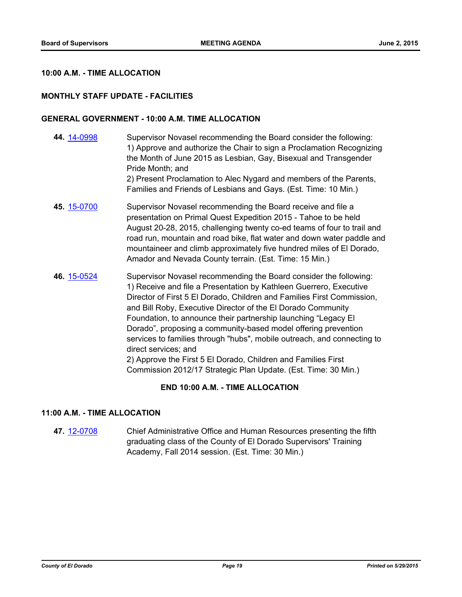## **10:00 A.M. - TIME ALLOCATION**

## **MONTHLY STAFF UPDATE - FACILITIES**

### **GENERAL GOVERNMENT - 10:00 A.M. TIME ALLOCATION**

- **44.** [14-0998](http://eldorado.legistar.com/gateway.aspx?m=l&id=/matter.aspx?key=18483) Supervisor Novasel recommending the Board consider the following: 1) Approve and authorize the Chair to sign a Proclamation Recognizing the Month of June 2015 as Lesbian, Gay, Bisexual and Transgender Pride Month; and 2) Present Proclamation to Alec Nygard and members of the Parents, Families and Friends of Lesbians and Gays. (Est. Time: 10 Min.)
- **45.** [15-0700](http://eldorado.legistar.com/gateway.aspx?m=l&id=/matter.aspx?key=19873) Supervisor Novasel recommending the Board receive and file a presentation on Primal Quest Expedition 2015 - Tahoe to be held August 20-28, 2015, challenging twenty co-ed teams of four to trail and road run, mountain and road bike, flat water and down water paddle and mountaineer and climb approximately five hundred miles of El Dorado, Amador and Nevada County terrain. (Est. Time: 15 Min.)
- **46.** [15-0524](http://eldorado.legistar.com/gateway.aspx?m=l&id=/matter.aspx?key=19696) Supervisor Novasel recommending the Board consider the following: 1) Receive and file a Presentation by Kathleen Guerrero, Executive Director of First 5 El Dorado, Children and Families First Commission, and Bill Roby, Executive Director of the El Dorado Community Foundation, to announce their partnership launching "Legacy El Dorado", proposing a community-based model offering prevention services to families through "hubs", mobile outreach, and connecting to direct services; and 2) Approve the First 5 El Dorado, Children and Families First

Commission 2012/17 Strategic Plan Update. (Est. Time: 30 Min.)

## **END 10:00 A.M. - TIME ALLOCATION**

## **11:00 A.M. - TIME ALLOCATION**

**47.** [12-0708](http://eldorado.legistar.com/gateway.aspx?m=l&id=/matter.aspx?key=15001) Chief Administrative Office and Human Resources presenting the fifth graduating class of the County of El Dorado Supervisors' Training Academy, Fall 2014 session. (Est. Time: 30 Min.)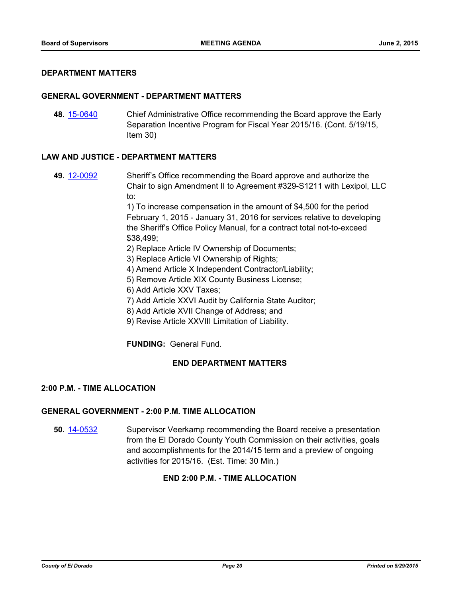## **DEPARTMENT MATTERS**

### **GENERAL GOVERNMENT - DEPARTMENT MATTERS**

**48.** [15-0640](http://eldorado.legistar.com/gateway.aspx?m=l&id=/matter.aspx?key=19812) Chief Administrative Office recommending the Board approve the Early Separation Incentive Program for Fiscal Year 2015/16. (Cont. 5/19/15, Item 30)

### **LAW AND JUSTICE - DEPARTMENT MATTERS**

- **49.** [12-0092](http://eldorado.legistar.com/gateway.aspx?m=l&id=/matter.aspx?key=14377) Sheriff's Office recommending the Board approve and authorize the Chair to sign Amendment II to Agreement #329-S1211 with Lexipol, LLC to: 1) To increase compensation in the amount of \$4,500 for the period February 1, 2015 - January 31, 2016 for services relative to developing the Sheriff's Office Policy Manual, for a contract total not-to-exceed \$38,499; 2) Replace Article IV Ownership of Documents;
	- 3) Replace Article VI Ownership of Rights;
	- 4) Amend Article X Independent Contractor/Liability;
	- 5) Remove Article XIX County Business License;
	- 6) Add Article XXV Taxes;
	- 7) Add Article XXVI Audit by California State Auditor;
	- 8) Add Article XVII Change of Address; and
	- 9) Revise Article XXVIII Limitation of Liability.

**FUNDING:** General Fund.

### **END DEPARTMENT MATTERS**

### **2:00 P.M. - TIME ALLOCATION**

## **GENERAL GOVERNMENT - 2:00 P.M. TIME ALLOCATION**

**50.** [14-0532](http://eldorado.legistar.com/gateway.aspx?m=l&id=/matter.aspx?key=18015) Supervisor Veerkamp recommending the Board receive a presentation from the El Dorado County Youth Commission on their activities, goals and accomplishments for the 2014/15 term and a preview of ongoing activities for 2015/16. (Est. Time: 30 Min.)

## **END 2:00 P.M. - TIME ALLOCATION**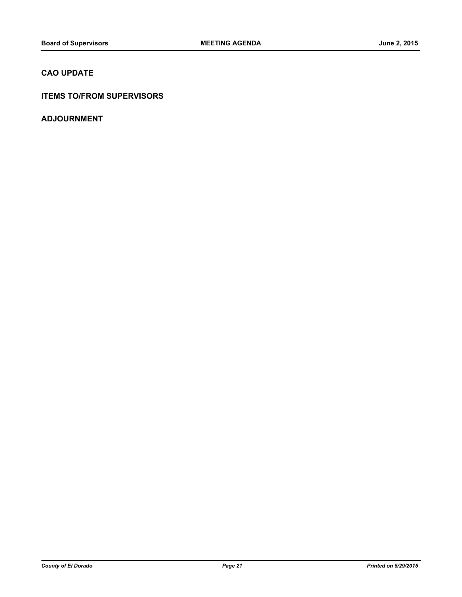## **CAO UPDATE**

## **ITEMS TO/FROM SUPERVISORS**

**ADJOURNMENT**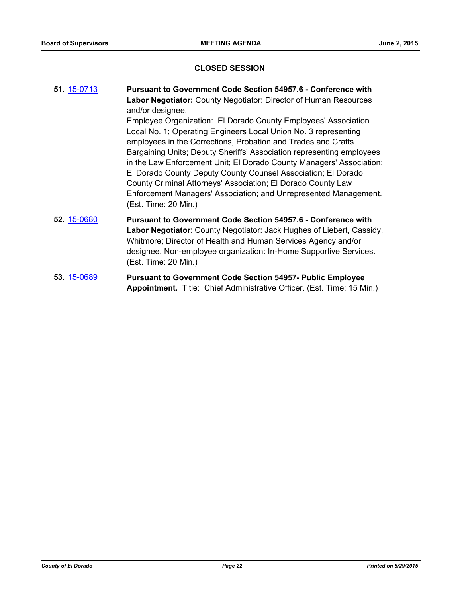## **CLOSED SESSION**

**51.** [15-0713](http://eldorado.legistar.com/gateway.aspx?m=l&id=/matter.aspx?key=19887) **Pursuant to Government Code Section 54957.6 - Conference with Labor Negotiator:** County Negotiator: Director of Human Resources and/or designee. Employee Organization: El Dorado County Employees' Association Local No. 1; Operating Engineers Local Union No. 3 representing employees in the Corrections, Probation and Trades and Crafts Bargaining Units; Deputy Sheriffs' Association representing employees in the Law Enforcement Unit; El Dorado County Managers' Association; El Dorado County Deputy County Counsel Association; El Dorado County Criminal Attorneys' Association; El Dorado County Law Enforcement Managers' Association; and Unrepresented Management. (Est. Time: 20 Min.) **52.** [15-0680](http://eldorado.legistar.com/gateway.aspx?m=l&id=/matter.aspx?key=19852) **Pursuant to Government Code Section 54957.6 - Conference with Labor Negotiator**: County Negotiator: Jack Hughes of Liebert, Cassidy, Whitmore; Director of Health and Human Services Agency and/or designee. Non-employee organization: In-Home Supportive Services. (Est. Time: 20 Min.) **53.** [15-0689](http://eldorado.legistar.com/gateway.aspx?m=l&id=/matter.aspx?key=19862) **Pursuant to Government Code Section 54957- Public Employee** 

**Appointment.** Title: Chief Administrative Officer. (Est. Time: 15 Min.)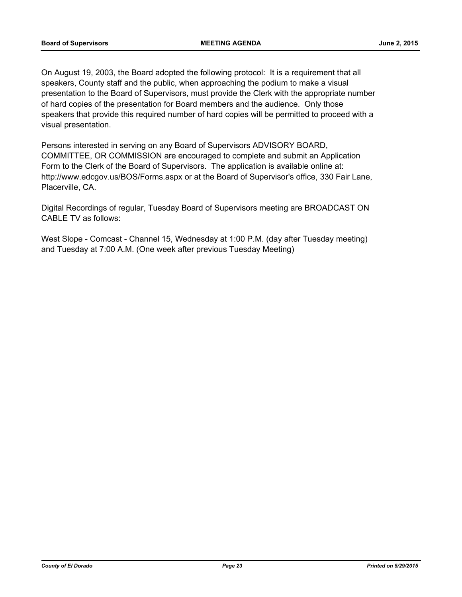On August 19, 2003, the Board adopted the following protocol: It is a requirement that all speakers, County staff and the public, when approaching the podium to make a visual presentation to the Board of Supervisors, must provide the Clerk with the appropriate number of hard copies of the presentation for Board members and the audience. Only those speakers that provide this required number of hard copies will be permitted to proceed with a visual presentation.

Persons interested in serving on any Board of Supervisors ADVISORY BOARD, COMMITTEE, OR COMMISSION are encouraged to complete and submit an Application Form to the Clerk of the Board of Supervisors. The application is available online at: http://www.edcgov.us/BOS/Forms.aspx or at the Board of Supervisor's office, 330 Fair Lane, Placerville, CA.

Digital Recordings of regular, Tuesday Board of Supervisors meeting are BROADCAST ON CABLE TV as follows:

West Slope - Comcast - Channel 15, Wednesday at 1:00 P.M. (day after Tuesday meeting) and Tuesday at 7:00 A.M. (One week after previous Tuesday Meeting)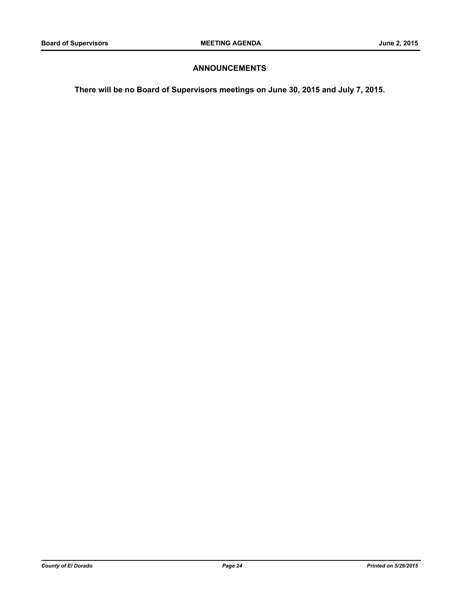## **ANNOUNCEMENTS**

**There will be no Board of Supervisors meetings on June 30, 2015 and July 7, 2015.**